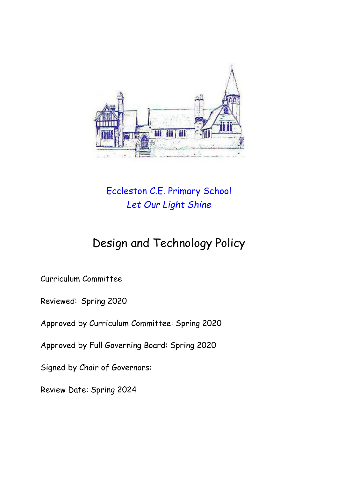

# Eccleston C.E. Primary School *Let Our Light Shine*

# Design and Technology Policy

Curriculum Committee

Reviewed: Spring 2020

Approved by Curriculum Committee: Spring 2020

Approved by Full Governing Board: Spring 2020

Signed by Chair of Governors:

Review Date: Spring 2024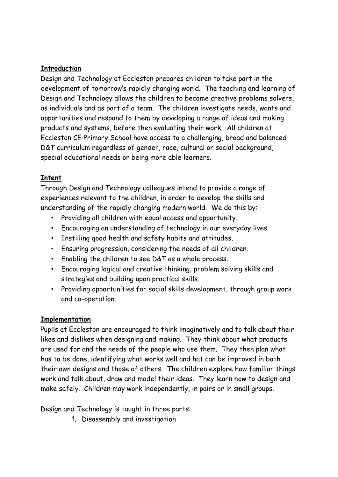#### **Introduction**

Design and Technology at Eccleston prepares children to take part in the development of tomorrow's rapidly changing world. The teaching and learning of Design and Technology allows the children to become creative problems solvers, as individuals and as part of a team. The children investigate needs, wants and opportunities and respond to them by developing a range of ideas and making products and systems, before then evaluating their work. All children at Eccleston CE Primary School have access to a challenging, broad and balanced D&T curriculum regardless of gender, race, cultural or social background, special educational needs or being more able learners.

#### **Intent**

Through Design and Technology colleagues intend to provide a range of experiences relevant to the children, in order to develop the skills and understanding of the rapidly changing modern world. We do this by:

- Providing all children with equal access and opportunity.
- Encouraging an understanding of technology in our everyday lives.
- Instilling good health and safety habits and attitudes.
- Ensuring progression, considering the needs of all children.
- Enabling the children to see D&T as a whole process.
- Encouraging logical and creative thinking, problem solving skills and strategies and building upon practical skills.
- Providing opportunities for social skills development, through group work and co-operation.

#### **Implementation**

Pupils at Eccleston are encouraged to think imaginatively and to talk about their likes and dislikes when designing and making. They think about what products are used for and the needs of the people who use them. They then plan what has to be done, identifying what works well and hat can be improved in both their own designs and those of others. The children explore how familiar things work and talk about, draw and model their ideas. They learn how to design and make safely. Children may work independently, in pairs or in small groups.

Design and Technology is taught in three parts:

1. Disassembly and investigation